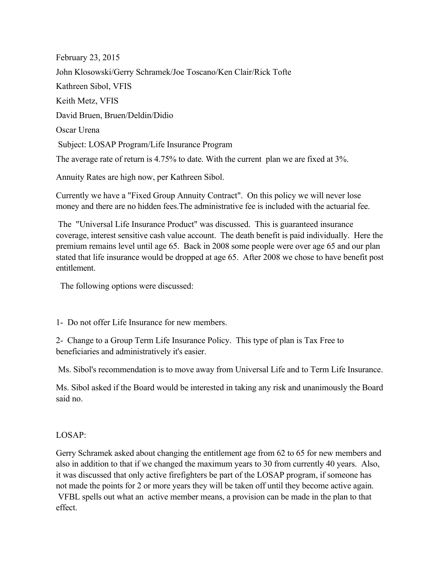February 23, 2015 John Klosowski/Gerry Schramek/Joe Toscano/Ken Clair/Rick Tofte Kathreen Sibol, VFIS Keith Metz, VFIS David Bruen, Bruen/Deldin/Didio Oscar Urena Subject: LOSAP Program/Life Insurance Program The average rate of return is 4.75% to date. With the current plan we are fixed at 3%.

Annuity Rates are high now, per Kathreen Sibol.

Currently we have a "Fixed Group Annuity Contract". On this policy we will never lose money and there are no hidden fees.The administrative fee is included with the actuarial fee.

 The "Universal Life Insurance Product" was discussed. This is guaranteed insurance coverage, interest sensitive cash value account. The death benefit is paid individually. Here the premium remains level until age 65. Back in 2008 some people were over age 65 and our plan stated that life insurance would be dropped at age 65. After 2008 we chose to have benefit post entitlement.

The following options were discussed:

1- Do not offer Life Insurance for new members.

2- Change to a Group Term Life Insurance Policy. This type of plan is Tax Free to beneficiaries and administratively it's easier.

Ms. Sibol's recommendation is to move away from Universal Life and to Term Life Insurance.

Ms. Sibol asked if the Board would be interested in taking any risk and unanimously the Board said no.

## LOSAP:

Gerry Schramek asked about changing the entitlement age from 62 to 65 for new members and also in addition to that if we changed the maximum years to 30 from currently 40 years. Also, it was discussed that only active firefighters be part of the LOSAP program, if someone has not made the points for 2 or more years they will be taken off until they become active again. VFBL spells out what an active member means, a provision can be made in the plan to that effect.